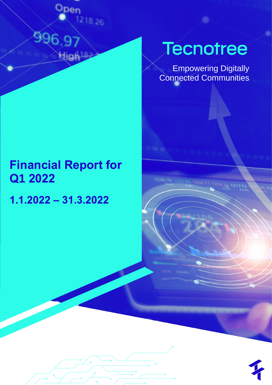

Empowering Digitally Connected Communities

# **Financial Report for Q1 2022**

**1.1.2022 – 31.3.2022**

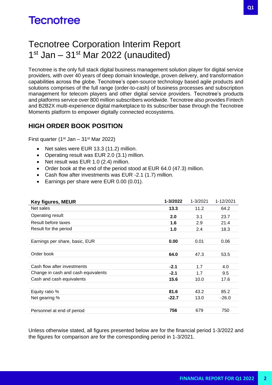### Tecnotree Corporation Interim Report 1<sup>st</sup> Jan – 31<sup>st</sup> Mar 2022 (unaudited)

Tecnotree is the only full stack digital business management solution player for digital service providers, with over 40 years of deep domain knowledge, proven delivery, and transformation capabilities across the globe. Tecnotree's open-source technology based agile products and solutions comprises of the full range (order-to-cash) of business processes and subscription management for telecom players and other digital service providers. Tecnotree's products and platforms service over 800 million subscribers worldwide. Tecnotree also provides Fintech and B2B2X multi-experience digital marketplace to its subscriber base through the Tecnotree Moments platform to empower digitally connected ecosystems.

#### **HIGH ORDER BOOK POSITION**

First quarter (1<sup>st</sup> Jan – 31<sup>st</sup> Mar 2022)

- Net sales were EUR 13.3 (11.2) million.
- Operating result was EUR 2.0 (3.1) million.
- Net result was EUR 1.0 (2.4) million.
- Order book at the end of the period stood at EUR 64.0 (47.3) million.
- Cash flow after investments was EUR -2.1 (1.7) million.
- Earnings per share were EUR 0.00 (0.01).

| <b>Key figures, MEUR</b>            | 1-3/2022 | 1-3/2021 | 1-12/2021 |
|-------------------------------------|----------|----------|-----------|
| Net sales                           | 13.3     | 11.2     | 64.2      |
| Operating result                    | 2.0      | 3.1      | 23.7      |
| Result before taxes                 | 1.6      | 2.9      | 21.4      |
| Result for the period               | 1.0      | 2.4      | 18.3      |
|                                     |          |          |           |
| Earnings per share, basic, EUR      | 0.00     | 0.01     | 0.06      |
|                                     |          |          |           |
| Order book                          | 64.0     | 47.3     | 53.5      |
|                                     |          |          |           |
| Cash flow after investments         | $-2.1$   | 1.7      | 4.0       |
| Change in cash and cash equivalents | $-2.1$   | 1.7      | 9.5       |
| Cash and cash equivalents           | 15.6     | 10.0     | 17.6      |
|                                     |          |          |           |
| Equity ratio %                      | 81.6     | 43.2     | 85.2      |
| Net gearing %                       | $-22.7$  | 13.0     | $-26.0$   |
|                                     |          |          |           |
| Personnel at end of period          | 756      | 679      | 750       |

Unless otherwise stated, all figures presented below are for the financial period 1-3/2022 and the figures for comparison are for the corresponding period in 1-3/2021.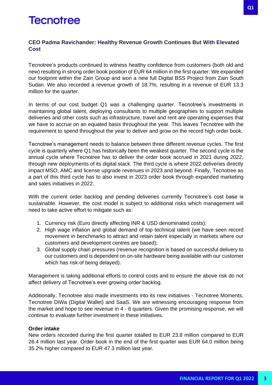#### **CEO Padma Ravichander: Healthy Revenue Growth Continues But With Elevated Cost**

Tecnotree's products continued to witness healthy confidence from customers (both old and new) resulting in strong order book position of EUR 64 million in the first quarter. We expanded our footprint within the Zain Group and won a new full Digital BSS Project from Zain South Sudan. We also recorded a revenue growth of 18.7%, resulting in a revenue of EUR 13.3 million for the quarter.

In terms of our cost budget Q1 was a challenging quarter. Tecnotree's investments in maintaining global talent, deploying consultants to multiple geographies to support multiple deliveries and other costs such as infrastructure, travel and rent are operating expenses that we have to accrue on an equated basis throughout the year. This leaves Tecnotree with the requirement to spend throughout the year to deliver and grow on the record high order book.

Tecnotree's management needs to balance between three different revenue cycles. The first cycle is quarterly where Q1 has historically been the weakest quarter. The second cycle is the annual cycle where Tecnotree has to deliver the order book accrued in 2021 during 2022, through new deployments of its digital stack. The third cycle is where 2022 deliveries directly impact MSO, AMC and license upgrade revenues in 2023 and beyond. Finally, Tecnotree as a part of this third cycle has to also invest in 2023 order book through expanded marketing and sales initiatives in 2022.

With the current order backlog and pending deliveries currently Tecnotree's cost base is sustainable. However, the cost model is subject to additional risks which management will need to take active effort to mitigate such as:

- 1. Currency risk (Euro directly affecting INR & USD denominated costs);
- 2. High wage inflation and global demand of top technical talent (we have seen record movement in benchmarks to attract and retain talent especially in markets where our customers and development centres are based);
- 3. Global supply chain pressures (revenue recognition is based on successful delivery to our customers and is dependent on on-site hardware being available with our customer which has risk of being delayed).

Management is taking additional efforts to control costs and to ensure the above risk do not affect delivery of Tecnotree's ever growing order backlog.

Additionally, Tecnotree also made investments into its new initiatives - Tecnotree Moments, Tecnotree DiWa (Digital Wallet) and SaaS. We are witnessing encouraging response from the market and hope to see revenue in 4 - 6 quarters. Given the promising response, we will continue to evaluate further investment in these initiatives.

#### **Order intake**

New orders recorded during the first quarter totalled to EUR 23.8 million compared to EUR 26.4 million last year. Order book in the end of the first quarter was EUR 64.0 million being 35.2% higher compared to EUR 47.3 million last year.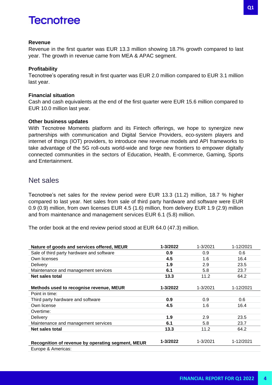#### **Revenue**

Revenue in the first quarter was EUR 13.3 million showing 18.7% growth compared to last year. The growth in revenue came from MEA & APAC segment.

#### **Profitability**

Tecnotree's operating result in first quarter was EUR 2.0 million compared to EUR 3.1 million last year.

#### **Financial situation**

Cash and cash equivalents at the end of the first quarter were EUR 15.6 million compared to EUR 10.0 million last year.

#### **Other business updates**

With Tecnotree Moments platform and its Fintech offerings, we hope to synergize new partnerships with communication and Digital Service Providers, eco-system players and internet of things (IOT) providers, to introduce new revenue models and API frameworks to take advantage of the 5G roll-outs world-wide and forge new frontiers to empower digitally connected communities in the sectors of Education, Health, E-commerce, Gaming, Sports and Entertainment.

#### Net sales

Tecnotree's net sales for the review period were EUR 13.3 (11.2) million, 18.7 % higher compared to last year. Net sales from sale of third party hardware and software were EUR 0.9 (0.9) million, from own licenses EUR 4.5 (1.6) million, from delivery EUR 1.9 (2.9) million and from maintenance and management services EUR 6.1 (5.8) million.

The order book at the end review period stood at EUR 64.0 (47.3) million.

| Nature of goods and services offered, MEUR        | 1-3/2022 | 1-3/2021 | 1-12/2021 |
|---------------------------------------------------|----------|----------|-----------|
| Sale of third party hardware and software         | 0.9      | 0.9      | 0.6       |
| Own licenses                                      | 4.5      | 1.6      | 16.4      |
| Delivery                                          | 1.9      | 2.9      | 23.5      |
| Maintenance and management services               | 6.1      | 5.8      | 23.7      |
| Net sales total                                   | 13.3     | 11.2     | 64.2      |
| Methods used to recognise revenue, MEUR           | 1-3/2022 | 1-3/2021 | 1-12/2021 |
| Point in time:                                    |          |          |           |
| Third party hardware and software                 | 0.9      | 0.9      | 0.6       |
| Own license                                       | 4.5      | 1.6      | 16.4      |
| Overtime:                                         |          |          |           |
| Delivery                                          | 1.9      | 2.9      | 23.5      |
| Maintenance and management services               | 6.1      | 5.8      | 23.7      |
| Net sales total                                   | 13.3     | 11.2     | 64.2      |
| Recognition of revenue by operating segment, MEUR | 1-3/2022 | 1-3/2021 | 1-12/2021 |
| Europe & Americas:                                |          |          |           |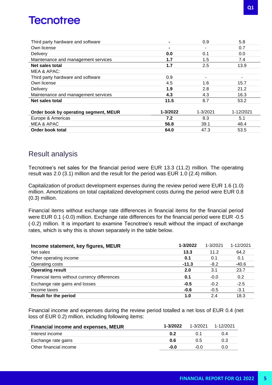| Third party hardware and software     | $\blacksquare$ | 0.9                      | 5.8       |
|---------------------------------------|----------------|--------------------------|-----------|
| Own license                           | $\blacksquare$ |                          | 0.7       |
| Delivery                              | 0.0            | 0.1                      | 0.0       |
| Maintenance and management services   | 1.7            | 1.5                      | 7.4       |
| Net sales total                       | 1.7            | 2.5                      | 13.9      |
| MEA & APAC:                           |                |                          |           |
| Third party hardware and software     | 0.9            | $\overline{\phantom{a}}$ | ۰         |
| Own license                           | 4.5            | 1.6                      | 15.7      |
| Delivery                              | 1.9            | 2.8                      | 21.2      |
| Maintenance and management services   | 4.3            | 4.3                      | 16.3      |
| Net sales total                       | 11.5           | 8.7                      | 53.2      |
|                                       |                |                          |           |
| Order book by operating segment, MEUR | 1-3/2022       | 1-3/2021                 | 1-12/2021 |
| Europe & Americas                     | 7.2            | 8.3                      | 5.1       |
| MEA & APAC                            | 56.8           | 39.1                     | 48.4      |
| Order book total                      | 64.0           | 47.3                     | 53.5      |

### Result analysis

Tecnotree's net sales for the financial period were EUR 13.3 (11.2) million. The operating result was 2.0 (3.1) million and the result for the period was EUR 1.0 (2.4) million.

Capitalization of product development expenses during the review period were EUR 1.6 (1.0) million. Amortizations on total capitalized development costs during the period were EUR 0.8 (0.3) million.

Financial items without exchange rate differences in financial items for the financial period were EUR 0.1 (-0.0) million. Exchange rate differences for the financial period were EUR -0.5 (-0.2) million. It is important to examine Tecnotree's result without the impact of exchange rates, which is why this is shown separately in the table below.

| Income statement, key figures, MEUR          | 1-3/2022 | 1-3/2021 | 1-12/2021 |
|----------------------------------------------|----------|----------|-----------|
| Net sales                                    | 13.3     | 11.2     | 64.2      |
| Other operating income                       | 0.1      | 0.1      | 0.1       |
| Operating costs                              | $-11.3$  | $-8.2$   | $-40.6$   |
| <b>Operating result</b>                      | 2.0      | 3.1      | 23.7      |
| Financial items without currency differences | 0.1      | $-0.0$   | 0.2       |
| Exchange rate gains and losses               | $-0.5$   | $-0.2$   | $-2.5$    |
| Income taxes                                 | $-0.6$   | $-0.5$   | $-3.1$    |
| <b>Result for the period</b>                 | 1.0      | 2.4      | 18.3      |

Financial income and expenses during the review period totalled a net loss of EUR 0.4 (net loss of EUR 0.2) million, including following items:

| Financial income and expenses, MEUR | 1-3/2022 | $1 - 3/2021$ | 1-12/2021 |
|-------------------------------------|----------|--------------|-----------|
| Interest income                     | 0.2      | () 1         | 0.4       |
| Exchange rate gains                 | 0.6      | 0.5          | 0.3       |
| Other financial income              | -0.0     | -0.0         | 0.0       |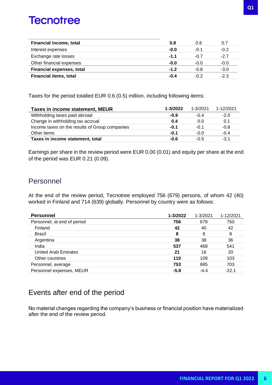| <b>Financial income, total</b>   | 0.8    | 0.6    | 0.7    |
|----------------------------------|--------|--------|--------|
| Interest expenses                | $-0.0$ | $-0.1$ | $-0.2$ |
| Exchange rate losses             | $-1.1$ | $-0.7$ | $-2.7$ |
| Other financial expenses         | $-0.0$ | $-0.0$ | $-0.0$ |
| <b>Financial expenses, total</b> | $-1.2$ | $-0.8$ | $-3.0$ |
| <b>Financial items, total</b>    | $-0.4$ | $-0.2$ | $-2.3$ |

Taxes for the period totalled EUR 0.6 (0.5) million, including following items:

| <b>Taxes in income statement, MEUR</b>         | 1-3/2022 | $1 - 3/2021$ | 1-12/2021 |
|------------------------------------------------|----------|--------------|-----------|
| Withholding taxes paid abroad                  | $-0.9$   | -04          | $-2.0$    |
| Change in withholding tax accrual              | 0.4      | 0.0          | 0.1       |
| Income taxes on the results of Group companies | $-0.1$   | $-0.1$       | $-0.8$    |
| Other items                                    | $-0.1$   | $-0.0$       | $-0.4$    |
| Taxes in income statement, total               | $-0.6$   | $-0.5$       | $-3.1$    |

Earnings per share in the review period were EUR 0.00 (0.01) and equity per share at the end of the period was EUR 0.21 (0.09).

#### Personnel

At the end of the review period, Tecnotree employed 756 (679) persons, of whom 42 (40) worked in Finland and 714 (639) globally. Personnel by country were as follows:

| <b>Personnel</b>            | 1-3/2022 | 1-3/2021 | 1-12/2021 |
|-----------------------------|----------|----------|-----------|
| Personnel, at end of period | 756      | 679      | 750       |
| Finland                     | 42       | 40       | 42        |
| <b>Brazil</b>               | 8        | 8        | 8         |
| Argentina                   | 38       | 38       | 36        |
| India                       | 537      | 468      | 541       |
| <b>United Arab Emirates</b> | 21       | 16       | 20        |
| Other countries             | 110      | 109      | 103       |
| Personnel, average          | 753      | 685      | 703       |
| Personnel expenses, MEUR    | $-5.8$   | $-4.4$   | $-22.1$   |

### Events after end of the period

No material changes regarding the company's business or financial position have materialized after the end of the review period.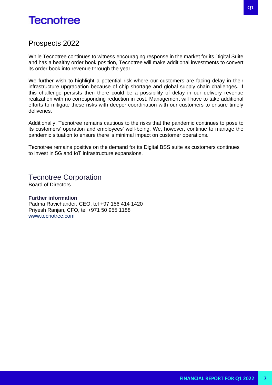#### Prospects 2022

While Tecnotree continues to witness encouraging response in the market for its Digital Suite and has a healthy order book position, Tecnotree will make additional investments to convert its order book into revenue through the year.

We further wish to highlight a potential risk where our customers are facing delay in their infrastructure upgradation because of chip shortage and global supply chain challenges. If this challenge persists then there could be a possibility of delay in our delivery revenue realization with no corresponding reduction in cost. Management will have to take additional efforts to mitigate these risks with deeper coordination with our customers to ensure timely deliveries.

Additionally, Tecnotree remains cautious to the risks that the pandemic continues to pose to its customers' operation and employees' well-being. We, however, continue to manage the pandemic situation to ensure there is minimal impact on customer operations.

Tecnotree remains positive on the demand for its Digital BSS suite as customers continues to invest in 5G and IoT infrastructure expansions.

Tecnotree Corporation Board of Directors

#### **Further information**

Padma Ravichander, CEO, tel +97 156 414 1420 Priyesh Ranjan, CFO, tel +971 50 955 1188 [www.tecnotree.com](http://www.tecnotree.com/)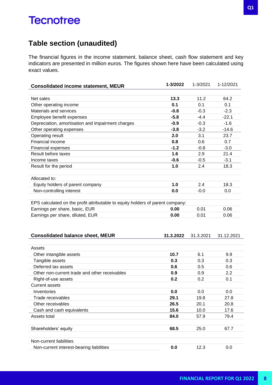### **Table section (unaudited)**

The financial figures in the income statement, balance sheet, cash flow statement and key indicators are presented in million euros. The figures shown here have been calculated using exact values.

| <b>Consolidated income statement, MEUR</b>                                     | 1-3/2022  | 1-3/2021  | 1-12/2021  |
|--------------------------------------------------------------------------------|-----------|-----------|------------|
|                                                                                |           |           |            |
| Net sales                                                                      | 13.3      | 11.2      | 64.2       |
| Other operating income                                                         | 0.1       | 0.1       | 0.1        |
| Materials and services                                                         | $-0.8$    | $-0.3$    | $-2.3$     |
| Employee benefit expenses                                                      | $-5.8$    | $-4.4$    | $-22.1$    |
| Depreciation, amortisation and impairment charges                              | $-0.9$    | $-0.3$    | $-1.6$     |
| Other operating expenses                                                       | $-3.8$    | $-3.2$    | $-14.6$    |
| Operating result                                                               | 2.0       | 3.1       | 23.7       |
| Financial income                                                               | 0.8       | 0.6       | 0.7        |
| Financial expenses                                                             | $-1.2$    | $-0.8$    | $-3.0$     |
| Result before taxes                                                            | 1.6       | 2.9       | 21.4       |
| Income taxes                                                                   | $-0.6$    | $-0.5$    | $-3.1$     |
| Result for the period                                                          | 1.0       | 2.4       | 18.3       |
|                                                                                |           |           |            |
| Allocated to:                                                                  |           |           |            |
| Equity holders of parent company                                               | 1.0       | 2.4       | 18.3       |
| Non-controlling interest                                                       | 0.0       | $-0.0$    | 0.0        |
|                                                                                |           |           |            |
| EPS calculated on the profit attributable to equity holders of parent company: |           |           |            |
| Earnings per share, basic, EUR                                                 | 0.00      | 0.01      | 0.06       |
| Earnings per share, diluted, EUR                                               | 0.00      | 0.01      | 0.06       |
|                                                                                |           |           |            |
|                                                                                |           |           |            |
| <b>Consolidated balance sheet, MEUR</b>                                        | 31.3.2022 | 31.3.2021 | 31.12.2021 |
|                                                                                |           |           |            |
| Assets                                                                         |           |           |            |
| Other intangible assets                                                        | 10.7      | 6.1       | 9.9        |
| Tangible assets                                                                | 0.3       | 0.3       | 0.3        |
| Deferred tax assets                                                            | 0.6       | 0.5       | 0.6        |
| Other non-current trade and other receivables                                  | 0.9       | 0.9       | 2.2        |
| Right-of-use assets                                                            | 0.2       | 0.2       | 0.1        |
| <b>Current assets</b>                                                          |           |           |            |
|                                                                                |           |           |            |
| Inventories                                                                    | 0.0       | 0.0       | 0.0        |
| Trade receivables                                                              | 29.1      | 19.8      | 27.8       |
| Other receivables                                                              | 26.5      | 20.1      | 20.8       |
| Cash and cash equivalents                                                      | 15.6      | 10.0      | 17.6       |
| Assets total                                                                   | 84.0      | 57.9      | 79.4       |
|                                                                                |           |           |            |
| Shareholders' equity                                                           | 68.5      | 25.0      | 67.7       |
|                                                                                |           |           |            |
| Non-current liabilities                                                        |           |           |            |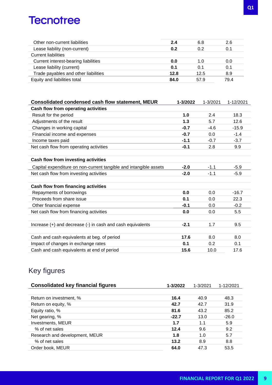| Other non-current liabilities        | 2.4  | 6.8  | 2.6  |
|--------------------------------------|------|------|------|
| Lease liability (non-current)        | 0.2  | 0.2  | 0.1  |
| <b>Current liabilities</b>           |      |      |      |
| Current interest-bearing liabilities | 0.0  | 1.0  | 0.0  |
| Lease liability (current)            | 0.1  | 0.1  | 0.1  |
| Trade payables and other liabilities | 12.8 | 12.5 | 8.9  |
| Equity and liabilities total         | 84.0 | 57.9 | 79.4 |
|                                      |      |      |      |

| <b>Consolidated condensed cash flow statement, MEUR</b>           | 1-3/2022 | 1-3/2021 | 1-12/2021 |
|-------------------------------------------------------------------|----------|----------|-----------|
| Cash flow from operating activities                               |          |          |           |
| Result for the period                                             | 1.0      | 2.4      | 18.3      |
| Adjustments of the result                                         | 1.3      | 5.7      | 12.6      |
| Changes in working capital                                        | $-0.7$   | $-4.6$   | $-15.9$   |
| Financial income and expenses                                     | $-0.7$   | 0.0      | $-1.4$    |
| Income taxes paid                                                 | $-1.1$   | $-0.7$   | $-3.7$    |
| Net cash flow from operating activities                           | $-0.1$   | 2.8      | 9.9       |
|                                                                   |          |          |           |
| Cash flow from investing activities                               |          |          |           |
| Capital expenditure on non-current tangible and intangible assets | $-2.0$   | $-1.1$   | $-5.9$    |
| Net cash flow from investing activities                           | $-2.0$   | $-1.1$   | $-5.9$    |
|                                                                   |          |          |           |
| Cash flow from financing activities                               |          |          |           |
| Repayments of borrowings                                          | 0.0      | 0.0      | $-16.7$   |
| Proceeds from share issue                                         | 0.1      | 0.0      | 22.3      |
| Other financial expense                                           | $-0.1$   | 0.0      | $-0.2$    |
| Net cash flow from financing activities                           | 0.0      | 0.0      | 5.5       |
|                                                                   |          |          |           |
| Increase (+) and decrease (-) in cash and cash equivalents        | $-2.1$   | 1.7      | 9.5       |
|                                                                   |          |          |           |
| Cash and cash equivalents at beg. of period                       | 17.6     | 8.0      | 8.0       |
| Impact of changes in exchange rates                               | 0.1      | 0.2      | 0.1       |
| Cash and cash equivalents at end of period                        | 15.6     | 10.0     | 17.6      |

### Key figures

| <b>Consolidated key financial figures</b> | 1-3/2022 | 1-3/2021 | 1-12/2021 |
|-------------------------------------------|----------|----------|-----------|
|                                           |          |          |           |
| Return on investment, %                   | 16.4     | 40.9     | 48.3      |
| Return on equity, %                       | 42.7     | 42.7     | 31.9      |
| Equity ratio, %                           | 81.6     | 43.2     | 85.2      |
| Net gearing, %                            | $-22.7$  | 13.0     | $-26.0$   |
| Investments, MEUR                         | 1.7      | 1.1      | 5.9       |
| % of net sales                            | 12.4     | 9.6      | 9.2       |
| Research and development, MEUR            | 1.8      | 1.0      | 5.7       |
| % of net sales                            | 13.2     | 8.9      | 8.8       |
| Order book, MEUR                          | 64.0     | 47.3     | 53.5      |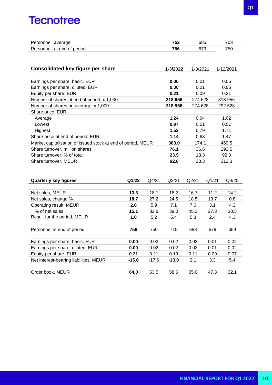| Personnel, average          | 685 |     |
|-----------------------------|-----|-----|
| Personnel, at end of period |     | 750 |

| Consolidated key figure per share                            | 1-3/2022 | 1-3/2021 | 1-12/2021 |
|--------------------------------------------------------------|----------|----------|-----------|
|                                                              |          |          |           |
| Earnings per share, basic, EUR                               | 0.00     | 0.01     | 0.06      |
| Earnings per share, diluted, EUR                             | 0.00     | 0.01     | 0.06      |
| Equity per share, EUR                                        | 0.21     | 0.09     | 0.21      |
| Number of shares at end of period, x 1,000                   | 318,956  | 274.628  | 318,956   |
| Number of shares on average, x 1,000                         | 318,956  | 274.628  | 292.528   |
| Share price, EUR                                             |          |          |           |
| Average                                                      | 1.24     | 0.64     | 1.02      |
| Lowest                                                       | 0.97     | 0.51     | 0.51      |
| Highest                                                      | 1.52     | 0.79     | 1.71      |
| Share price at end of period, EUR                            | 1.14     | 0.63     | 1.47      |
| Market capitalisation of issued stock at end of period, MEUR | 363.0    | 174.1    | 469.5     |
| Share turnover, million shares                               | 76.1     | 36.6     | 293.5     |
| Share turnover, % of total                                   | 23.9     | 13.3     | 92.0      |
| Share turnover, MEUR                                         | 92.8     | 23.3     | 312.3     |

| <b>Quarterly key figures</b>           | Q1/22   | Q4/21   | Q <sub>3</sub> /21 | Q2/21 | Q1/21 | Q4/20 |
|----------------------------------------|---------|---------|--------------------|-------|-------|-------|
|                                        |         |         |                    |       |       |       |
| Net sales, MEUR                        | 13.3    | 18.1    | 18.2               | 16.7  | 11.2  | 14.2  |
| Net sales, change %                    | 18.7    | 27.2    | 24.5               | 18.5  | 13.7  | 0.8   |
| Operating result, MEUR                 | 2.0     | 5.9     | 7.1                | 7.6   | 3.1   | 4.3   |
| % of net sales                         | 15.1    | 32.8    | 39.0               | 45.3  | 27.3  | 30.5  |
| Result for the period, MEUR            | 1.0     | 5.2     | 5.4                | 5.3   | 2.4   | 4.3   |
|                                        |         |         |                    |       |       |       |
| Personnel at end of period             | 756     | 750     | 715                | 688   | 679   | 659   |
|                                        |         |         |                    |       |       |       |
| Earnings per share, basic, EUR         | 0.00    | 0.02    | 0.02               | 0.02  | 0.01  | 0.02  |
| Earnings per share, diluted, EUR       | 0.00    | 0.02    | 0.02               | 0.02  | 0.01  | 0.02  |
| Equity per share, EUR                  | 0.21    | 0.21    | 0.19               | 0.11  | 0.09  | 0.07  |
| Net interest-bearing liabilities, MEUR | $-15.6$ | $-17.6$ | $-13.9$            | 2.1   | 3.3   | 5.4   |
|                                        |         |         |                    |       |       |       |
| Order book, MEUR                       | 64.0    | 53.5    | 58.6               | 55.0  | 47.3  | 32.1  |
|                                        |         |         |                    |       |       |       |